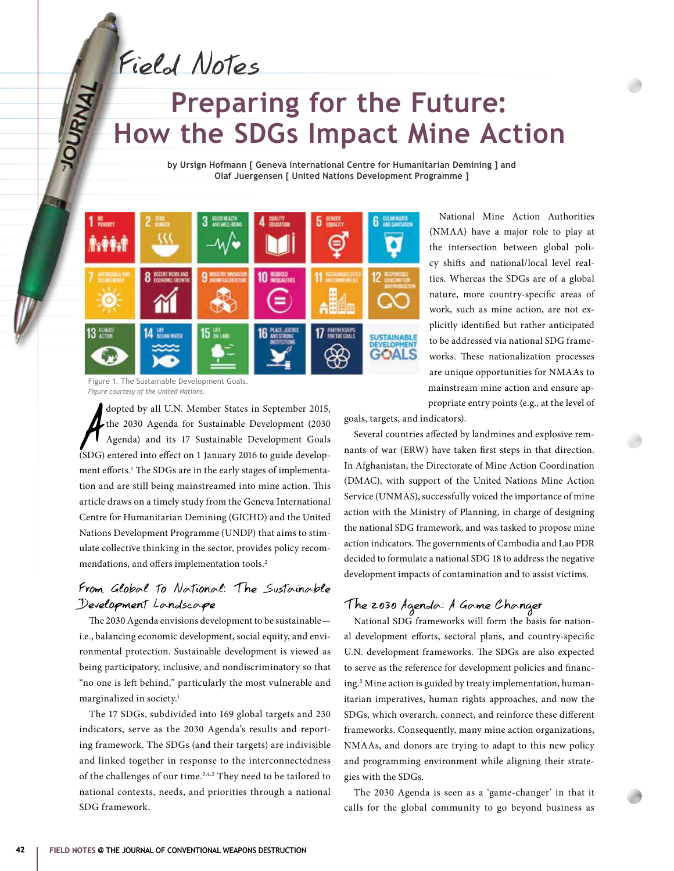Field Notes

# **Preparing for the Future: How the SDGs Impact Mine Action**

**by Ursign Hofmann [ Geneva International Centre for Humanitarian Demining ] and Olaf Juergensen [ United Nations Development Programme ]**



Figure 1. The Sustainable Development Goals. *Figure courtesy of the United Nations.*

dopted by all U.N. Member States in September 2015,<br>the 2030 Agenda for Sustainable Development (2030<br>Agenda) and its 17 Sustainable Development Goals<br>(SDG) entered into effect on 1 January 2016 to guide developdopted by all U.N. Member States in September 2015, the 2030 Agenda for Sustainable Development (2030 Agenda) and its 17 Sustainable Development Goals ment efforts.<sup>1</sup> The SDGs are in the early stages of implementation and are still being mainstreamed into mine action. This article draws on a timely study from the Geneva International Centre for Humanitarian Demining (GICHD) and the United Nations Development Programme (UNDP) that aims to stimulate collective thinking in the sector, provides policy recommendations, and offers implementation tools.2

#### From Global to National: The Sustainable Development Landscape

The 2030 Agenda envisions development to be sustainable i.e., balancing economic development, social equity, and environmental protection. Sustainable development is viewed as being participatory, inclusive, and nondiscriminatory so that "no one is left behind," particularly the most vulnerable and marginalized in society.<sup>1</sup>

The 17 SDGs, subdivided into 169 global targets and 230 indicators, serve as the 2030 Agenda's results and reporting framework. The SDGs (and their targets) are indivisible and linked together in response to the interconnectedness of the challenges of our time.3,4,5 They need to be tailored to national contexts, needs, and priorities through a national SDG framework.

National Mine Action Authorities (NMAA) have a major role to play at the intersection between global policy shifts and national/local level realties. Whereas the SDGs are of a global nature, more country-specific areas of work, such as mine action, are not explicitly identified but rather anticipated to be addressed via national SDG frameworks. These nationalization processes are unique opportunities for NMAAs to mainstream mine action and ensure appropriate entry points (e.g., at the level of

goals, targets, and indicators).

Several countries affected by landmines and explosive remnants of war (ERW) have taken first steps in that direction. In Afghanistan, the Directorate of Mine Action Coordination (DMAC), with support of the United Nations Mine Action Service (UNMAS), successfully voiced the importance of mine action with the Ministry of Planning, in charge of designing the national SDG framework, and was tasked to propose mine action indicators. The governments of Cambodia and Lao PDR decided to formulate a national SDG 18 to address the negative development impacts of contamination and to assist victims.

## The 2030 Agenda: A Game Changer

National SDG frameworks will form the basis for national development efforts, sectoral plans, and country-specific U.N. development frameworks. The SDGs are also expected to serve as the reference for development policies and financing.5 Mine action is guided by treaty implementation, humanitarian imperatives, human rights approaches, and now the SDGs, which overarch, connect, and reinforce these different frameworks. Consequently, many mine action organizations, NMAAs, and donors are trying to adapt to this new policy and programming environment while aligning their strategies with the SDGs.

The 2030 Agenda is seen as a 'game-changer' in that it calls for the global community to go beyond business as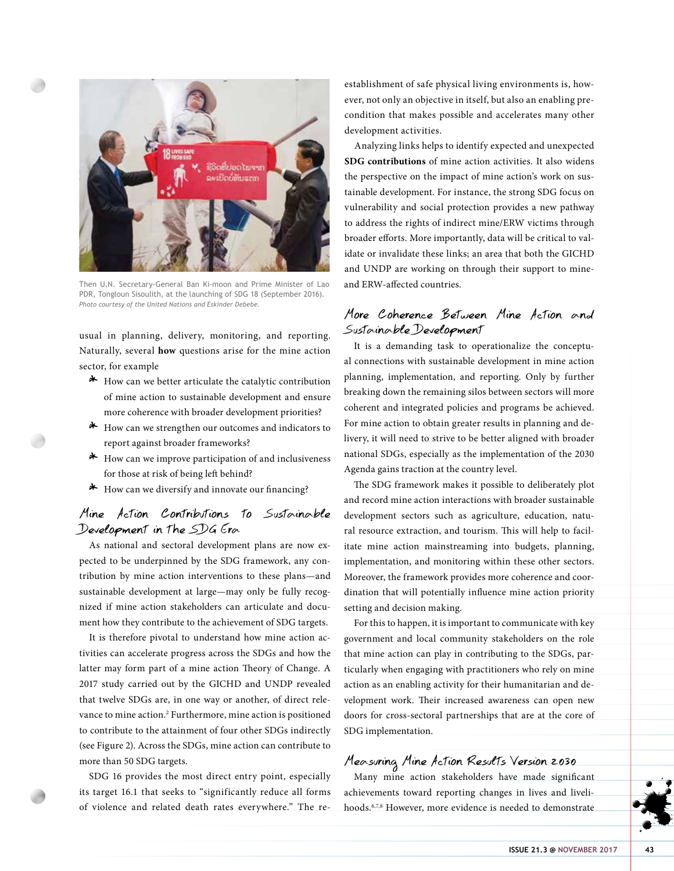

Then U.N. Secretary-General Ban Ki-moon and Prime Minister of Lao PDR, Tongloun Sisoulith, at the launching of SDG 18 (September 2016). *Photo courtesy of the United Nations and Eskinder Debebe.*

usual in planning, delivery, monitoring, and reporting. Naturally, several **how** questions arise for the mine action sector, for example

- \* How can we better articulate the catalytic contribution of mine action to sustainable development and ensure more coherence with broader development priorities?
- \* How can we strengthen our outcomes and indicators to report against broader frameworks?
- $*$  How can we improve participation of and inclusiveness for those at risk of being left behind?
- \* How can we diversify and innovate our financing?

#### Mine Action Contributions to Sustainable Development in the SDG Era

As national and sectoral development plans are now expected to be underpinned by the SDG framework, any contribution by mine action interventions to these plans—and sustainable development at large—may only be fully recognized if mine action stakeholders can articulate and document how they contribute to the achievement of SDG targets.

It is therefore pivotal to understand how mine action activities can accelerate progress across the SDGs and how the latter may form part of a mine action Theory of Change. A 2017 study carried out by the GICHD and UNDP revealed that twelve SDGs are, in one way or another, of direct relevance to mine action.<sup>2</sup> Furthermore, mine action is positioned to contribute to the attainment of four other SDGs indirectly (see Figure 2). Across the SDGs, mine action can contribute to more than 50 SDG targets.

SDG 16 provides the most direct entry point, especially its target 16.1 that seeks to "significantly reduce all forms of violence and related death rates everywhere." The reestablishment of safe physical living environments is, however, not only an objective in itself, but also an enabling precondition that makes possible and accelerates many other development activities.

Analyzing links helps to identify expected and unexpected **SDG contributions** of mine action activities. It also widens the perspective on the impact of mine action's work on sustainable development. For instance, the strong SDG focus on vulnerability and social protection provides a new pathway to address the rights of indirect mine/ERW victims through broader efforts. More importantly, data will be critical to validate or invalidate these links; an area that both the GICHD and UNDP are working on through their support to mineand ERW-affected countries.

#### More Coherence Between Mine Action and Sustainable Development

It is a demanding task to operationalize the conceptual connections with sustainable development in mine action planning, implementation, and reporting. Only by further breaking down the remaining silos between sectors will more coherent and integrated policies and programs be achieved. For mine action to obtain greater results in planning and delivery, it will need to strive to be better aligned with broader national SDGs, especially as the implementation of the 2030 Agenda gains traction at the country level.

The SDG framework makes it possible to deliberately plot and record mine action interactions with broader sustainable development sectors such as agriculture, education, natural resource extraction, and tourism. This will help to facilitate mine action mainstreaming into budgets, planning, implementation, and monitoring within these other sectors. Moreover, the framework provides more coherence and coordination that will potentially influence mine action priority setting and decision making.

For this to happen, it is important to communicate with key government and local community stakeholders on the role that mine action can play in contributing to the SDGs, particularly when engaging with practitioners who rely on mine action as an enabling activity for their humanitarian and development work. Their increased awareness can open new doors for cross-sectoral partnerships that are at the core of SDG implementation.

#### Measuring Mine Action Results Version 2030

Many mine action stakeholders have made significant achievements toward reporting changes in lives and livelihoods.6,7,8 However, more evidence is needed to demonstrate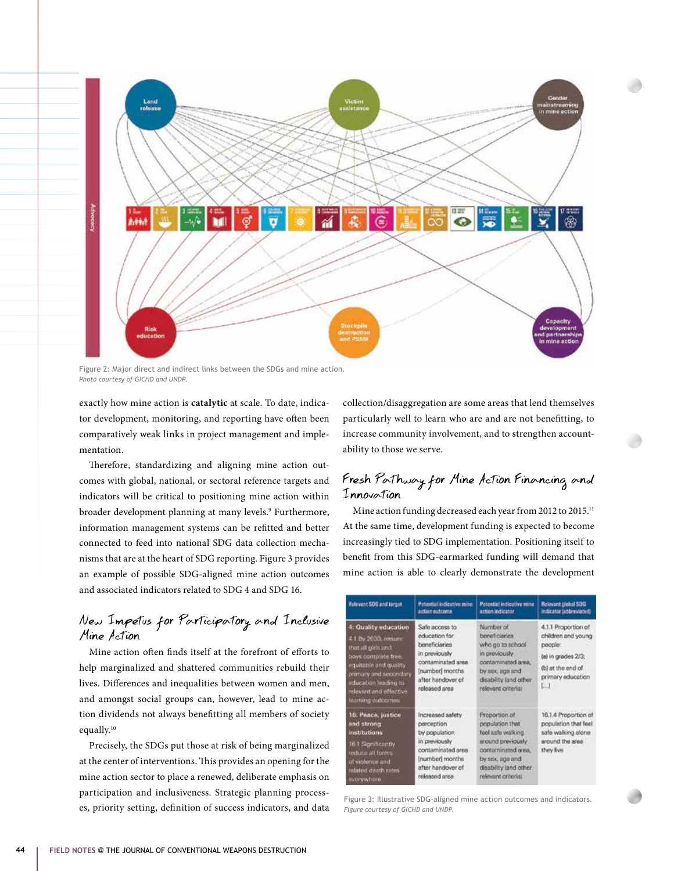

Figure 2: Major direct and indirect links between the SDGs and mine action. *Photo courtesy of GICHD and UNDP.*

exactly how mine action is **catalytic** at scale. To date, indicator development, monitoring, and reporting have often been comparatively weak links in project management and implementation.

Therefore, standardizing and aligning mine action outcomes with global, national, or sectoral reference targets and indicators will be critical to positioning mine action within broader development planning at many levels.9 Furthermore, information management systems can be refitted and better connected to feed into national SDG data collection mechanisms that are at the heart of SDG reporting. Figure 3 provides an example of possible SDG-aligned mine action outcomes and associated indicators related to SDG 4 and SDG 16.

#### New Impetus for Participatory and Inclusive Mine Action

Mine action often finds itself at the forefront of efforts to help marginalized and shattered communities rebuild their lives. Differences and inequalities between women and men, and amongst social groups can, however, lead to mine action dividends not always benefitting all members of society equally.10

Precisely, the SDGs put those at risk of being marginalized at the center of interventions. This provides an opening for the mine action sector to place a renewed, deliberate emphasis on participation and inclusiveness. Strategic planning processes, priority setting, definition of success indicators, and data collection/disaggregation are some areas that lend themselves particularly well to learn who are and are not benefitting, to increase community involvement, and to strengthen accountability to those we serve.

### Fresh Pathway for Mine Action Financing and Innovation

Mine action funding decreased each year from 2012 to 2015.<sup>11</sup> At the same time, development funding is expected to become increasingly tied to SDG implementation. Positioning itself to benefit from this SDG-earmarked funding will demand that mine action is able to clearly demonstrate the development

| <b>Belevant SDG and target</b>                                                                                                                                                                                      | Potential indicative mine<br>action outcome                                                                                                     | Potential indicative minir<br>action indicator                                                                                                                       | Relevant global SDG<br>indicator (abbreviated)                                                                                  |
|---------------------------------------------------------------------------------------------------------------------------------------------------------------------------------------------------------------------|-------------------------------------------------------------------------------------------------------------------------------------------------|----------------------------------------------------------------------------------------------------------------------------------------------------------------------|---------------------------------------------------------------------------------------------------------------------------------|
| 4: Quality education<br>4.1 By 2030, ensure<br>that all girls and<br>boys complete free.<br>equitable and quality<br>primary and secondary.<br>education leading to<br>relevant and effective.<br>learning outcomes | Safe access to<br>education for<br>beneficiaries<br>in previously<br>contaminated area<br>[number] months<br>after handover of<br>released area | Number of<br>beneficiaries<br>who go to school<br>in previously.<br>contaminated area.<br>by sex, age and<br>disability land other<br>relevant criterial             | 4.1.1 Proportion of<br>children and young<br>people:<br>(a) in grades 2/3;<br>(b) at the end of<br>primary education<br>$L - 1$ |
| 16: Peace, justice<br>and strong<br><i>institutions</i><br>16.1 Significantly<br>roduce all forms<br>of violence and<br>related death rates.<br>everywhere                                                          | Increased safety<br>perception<br>by population.<br>in previously<br>contaminated area<br>[number] months<br>after handover of<br>released area | Proportion of<br>population that<br>feel safe walking<br>around previously<br>contaminated area.<br>by sex, age and<br>disability land other.<br>relevant criterial. | 16.1.4 Proportion of<br>population that feel<br>safe walking alone<br>around the area<br>they live                              |

Figure 3: Illustrative SDG-aligned mine action outcomes and indicators. *Figure courtesy of GICHD and UNDP.*